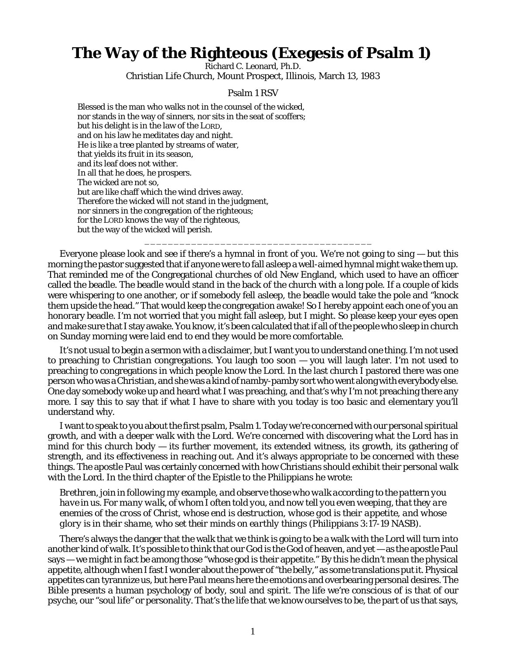## **The Way of the Righteous (Exegesis of Psalm 1)**

Richard C. Leonard, Ph.D. Christian Life Church, Mount Prospect, Illinois, March 13, 1983

## Psalm 1 RSV

Blessed is the man who walks not in the counsel of the wicked, nor stands in the way of sinners, nor sits in the seat of scoffers; but his delight is in the law of the LORD, and on his law he meditates day and night. He is like a tree planted by streams of water, that yields its fruit in its season, and its leaf does not wither. In all that he does, he prospers. The wicked are not so, but are like chaff which the wind drives away. Therefore the wicked will not stand in the judgment, nor sinners in the congregation of the righteous; for the LORD knows the way of the righteous, but the way of the wicked will perish.

Everyone please look and see if there's a hymnal in front of you. We're not going to sing — but this morning the pastor suggested that if anyone were to fall asleep a well-aimed hymnal might wake them up. That reminded me of the Congregational churches of old New England, which used to have an officer called the beadle. The beadle would stand in the back of the church with a long pole. If a couple of kids were whispering to one another, or if somebody fell asleep, the beadle would take the pole and "knock them upside the head." That would keep the congregation awake! So I hereby appoint each one of you an honorary beadle. I'm not worried that *you* might fall asleep, but *I* might. So please keep your eyes open and make sure that I stay awake. You know, it's been calculated that if all of the people who sleep in church on Sunday morning were laid end to end they would be more comfortable.

\_\_\_\_\_\_\_\_\_\_\_\_\_\_\_\_\_\_\_\_\_\_\_\_\_\_\_\_\_\_\_\_\_\_\_\_\_\_\_

It's not usual to begin a sermon with a disclaimer, but I want you to understand one thing. I'm not used to preaching to *Christian* congregations. You laugh too soon — you will laugh later. I'm not used to preaching to congregations in which people know the Lord. In the last church I pastored there was one person who was a Christian, and she was a kind of namby-pamby sort who went along with everybody else. One day somebody woke up and heard what I was preaching, and that's why I'm not preaching there any more. I say this to say that if what I have to share with you today is too basic and elementary you'll understand why.

I want to speak to you about the first psalm, Psalm 1. Today we're concerned with our personal spiritual growth, and with a deeper walk with the Lord. We're concerned with discovering what the Lord has in mind for this church body  $-$  its further movement, its extended witness, its growth, its gathering of strength, and its effectiveness in reaching out. And it's always appropriate to be concerned with these things. The apostle Paul was certainly concerned with how Christians should exhibit their personal walk with the Lord. In the third chapter of the Epistle to the Philippians he wrote:

*Brethren, join in following my example, and observe those who walk according to the pattern you have in us. For many walk, of whom I often told you, and now tell you even weeping, that they are enemies of the cross of Christ, whose end is destruction, whose god is their appetite, and whose glory is in their shame, who set their minds on earthly things* (Philippians 3:17-19 NASB).

There's always the danger that the walk that we think is going to be a walk with the Lord will turn into another kind of walk. It's possible to think that our God is the God of heaven, and yet — as the apostle Paul says — we might in fact be among those "whose god is their appetite." By this he didn't mean the physical appetite, although when I fast I wonder about the power of "the belly," as some translations put it. Physical appetites can tyrannize us, but here Paul means here the emotions and overbearing personal desires. The Bible presents a human psychology of body, soul and spirit. The life we're conscious of is that of our *psyche*, our "soul life" or personality. That's the life that we know ourselves to be, the part of us that says,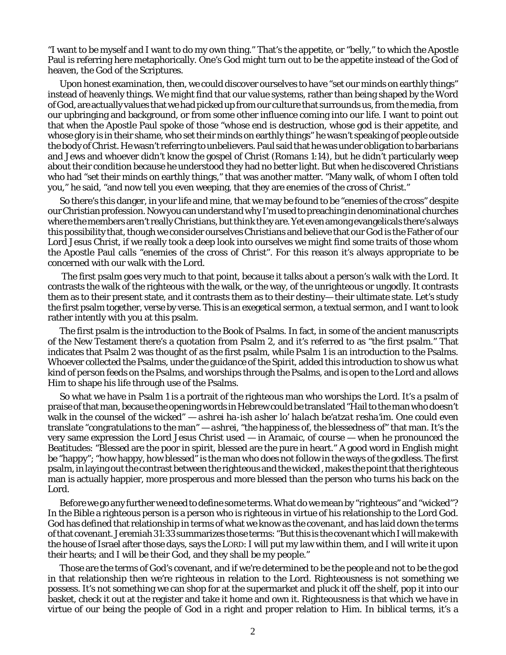"I want to be myself and I want to do my own thing." That's the appetite, or "belly," to which the Apostle Paul is referring here metaphorically. One's God might turn out to be the appetite instead of the God of heaven, the God of the Scriptures.

Upon honest examination, then, we could discover ourselves to have "set our minds on earthly things" instead of heavenly things. We might find that our value systems, rather than being shaped by the Word of God, are actually values that we had picked up from our culture that surrounds us, from the media, from our upbringing and background, or from some other influence coming into our life. I want to point out that when the Apostle Paul spoke of those "whose end is destruction, whose god is their appetite, and whose glory is in their shame, who set their minds on earthly things" he wasn't speaking of people outside the body of Christ. He wasn't referring to unbelievers. Paul said that he was under obligation to barbarians and Jews and whoever didn't know the gospel of Christ (Romans 1:14), but he didn't particularly weep about their condition because he understood they had no better light. But when he discovered Christians who had "set their minds on earthly things," that was another matter. "Many walk, of whom I often told you," he said, "and now tell you even weeping, that they are enemies of the cross of Christ."

So there's this danger, in your life and mine, that we may be found to be "enemies of the cross" despite our Christian profession. Now you can understand why I'm used to preaching in denominational churches where the members aren't really Christians, but think they are. Yet even among evangelicals there's always this possibility that, though we consider ourselves Christians and believe that our God is the Father of our Lord Jesus Christ, if we really took a deep look into ourselves we might find some traits of those whom the Apostle Paul calls "enemies of the cross of Christ". For this reason it's always appropriate to be concerned with our walk with the Lord.

 The first psalm goes very much to that point, because it talks about a person's walk with the Lord. It contrasts the walk of the righteous with the walk, or the way, of the unrighteous or ungodly. It contrasts them as to their present state, and it contrasts them as to their destiny— their ultimate state. Let's study the first psalm together, verse by verse. This is an exegetical sermon, a textual sermon, and I want to look rather intently with you at this psalm.

The first psalm is the introduction to the Book of Psalms. In fact, in some of the ancient manuscripts of the New Testament there's a quotation from Psalm 2, and it's referred to as "the first psalm." That indicates that Psalm 2 was thought of as the first psalm, while Psalm 1 is an introduction to the Psalms. Whoever collected the Psalms, under the guidance of the Spirit, added this introduction to show us *what kind of person* feeds on the Psalms, and worships through the Psalms, and is open to the Lord and allows Him to shape his life through use of the Psalms.

So what we have in Psalm 1 is a portrait of the righteous man who worships the Lord. It's a psalm of praise of that man, because the opening words in Hebrew could be translated "Hail to the man who doesn't walk in the counsel of the wicked" — *ashrei ha-ish asher lo' halach be'atzat resha'im.* One could even translate "congratulations to the man" — *ashrei,* "the happiness of, the blessedness of" that man. It's the very same expression the Lord Jesus Christ used — in Aramaic, of course — when he pronounced the Beatitudes: "Blessed are the poor in spirit, blessed are the pure in heart." A good word in English might be "happy"; "how happy, how blessed" is the man who does not follow in the ways of the godless. The first psalm, in laying out the contrast between the righteous and the wicked , makes the point that the righteous man is actually happier, more prosperous and more blessed than the person who turns his back on the Lord.

Before we go any further we need to define some terms. What do we mean by "righteous" and "wicked"? In the Bible a righteous person is a person who is righteous in virtue of his relationship to the Lord God. God has defined that relationship in terms of what we know as the *covenant,* and has laid down the terms of that covenant. Jeremiah 31:33 summarizes those terms: "But this is the covenant which I will make with the house of Israel after those days, says the LORD: I will put my law within them, and I will write it upon their hearts; and I will be their God, and they shall be my people."

Those are the terms of God's covenant, and if we're determined to be the *people* and not to be the *god* in that relationship then we're *righteous* in relation to the Lord. Righteousness is not something we possess. It's not something we can shop for at the supermarket and pluck it off the shelf, pop it into our basket, check it out at the register and take it home and own it. Righteousness is that which we have in virtue of our being the people of God in a right and proper relation to Him. In biblical terms, it's a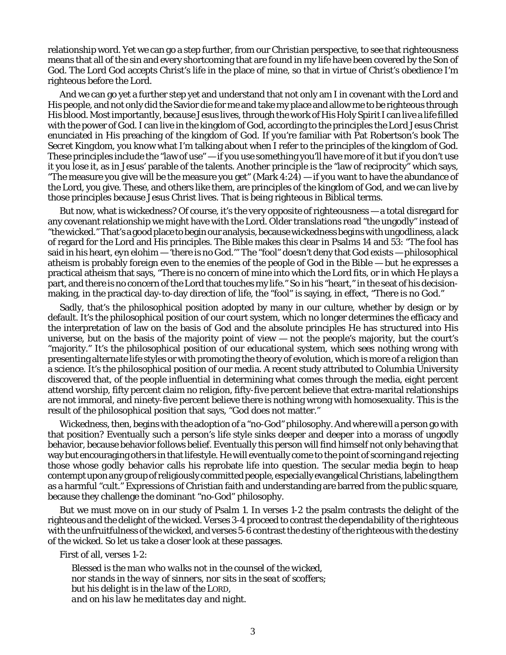relationship word. Yet we can go a step further, from our Christian perspective, to see that righteousness means that all of the sin and every shortcoming that are found in my life have been covered by the Son of God. The Lord God accepts Christ's life in the place of mine, so that in virtue of Christ's obedience I'm righteous before the Lord.

And we can go yet a further step yet and understand that not only am I in covenant with the Lord and His people, and not only did the Savior die for me and take my place and allow me to be righteous through His blood. Most importantly, *because Jesus lives*, through the work of His Holy Spirit I can live a life filled with the power of God. I can live in the kingdom of God, according to the principles the Lord Jesus Christ enunciated in His preaching of the kingdom of God. If you're familiar with Pat Robertson's book *The Secret Kingdom*, you know what I'm talking about when I refer to the principles of the kingdom of God. These principles include the "law of use" — if you use something you'll have more of it but if you don't use it you lose it, as in Jesus' parable of the talents. Another principle is the "law of reciprocity" which says, "The measure you give will be the measure you get" (Mark 4:24) — if you want to have the abundance of the Lord, you give. These, and others like them, are principles of the kingdom of God, and we can live by those principles because Jesus Christ lives. That is being righteous in Biblical terms.

But now, what is wickedness? Of course, it's the very opposite of righteousness — a total disregard for any covenant relationship we might have with the Lord. Older translations read "the ungodly" instead of "the wicked." That's a good place to begin our analysis, because wickedness begins with ungodliness, a lack of regard for the Lord and His principles. The Bible makes this clear in Psalms 14 and 53: "The fool has said in his heart, *eyn elohim* — 'there is no God.'" The "fool" doesn't deny that God exists — philosophical atheism is probably foreign even to the enemies of the people of God in the Bible — but he expresses a practical atheism that says, "There is no concern of mine into which the Lord fits, or in which He plays a part, and there is no concern of the Lord that touches my life." So in his "heart," in the seat of his decisionmaking, in the practical day-to-day direction of life, the "fool" is saying, in effect, "There is no God."

Sadly, that's the philosophical position adopted by many in our culture, whether by design or by default. It's the philosophical position of our court system, which no longer determines the efficacy and the interpretation of law on the basis of God and the absolute principles He has structured into His universe, but on the basis of the majority point of view — not the people's majority, but the court's "majority." It's the philosophical position of our educational system, which sees nothing wrong with presenting alternate life styles or with promoting the theory of evolution, which is more of a religion than a science. It's the philosophical position of our media. A recent study attributed to Columbia University discovered that, of the people influential in determining what comes through the media, eight percent attend worship, fifty percent claim no religion, fifty-five percent believe that extra-marital relationships are not immoral, and ninety-five percent believe there is nothing wrong with homosexuality. This is the result of the philosophical position that says, "God does not matter."

Wickedness, then, begins with the adoption of a "no-God" philosophy. And where will a person go with that position? Eventually such a person's life style sinks deeper and deeper into a morass of ungodly behavior, because behavior follows belief. Eventually this person will find himself not only behaving that way but encouraging others in that lifestyle. He will eventually come to the point of scorning and rejecting those whose *godly* behavior calls his reprobate life into question. The secular media begin to heap contempt upon any group of religiously committed people, especially evangelical Christians, labeling them as a harmful "cult." Expressions of Christian faith and understanding are barred from the public square, because they challenge the dominant "no-God" philosophy.

But we must move on in our study of Psalm 1. In verses 1-2 the psalm contrasts the *delight* of the righteous and the delight of the wicked. Verses 3-4 proceed to contrast the *dependability* of the righteous with the unfruitfulness of the wicked, and verses 5-6 contrast the *destiny* of the righteous with the destiny of the wicked. So let us take a closer look at these passages.

First of all, verses 1-2:

*Blessed is the man who walks not in the counsel of the wicked, nor stands in the way of sinners, nor sits in the seat of scoffers; but his delight is in the law of the LORD, and on his law he meditates day and night.*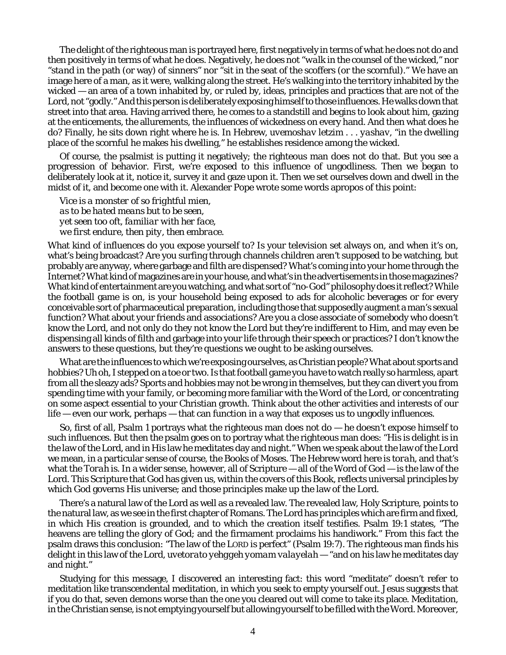The delight of the righteous man is portrayed here, first negatively in terms of what he does not do and then positively in terms of what he does. Negatively, he does not "*walk* in the counsel of the wicked," nor "*stand* in the path (or way) of sinners" nor "*sit* in the seat of the scoffers (or the scornful)." We have an image here of a man, as it were, walking along the street. He's walking into the territory inhabited by the wicked — an area of a town inhabited by, or ruled by, ideas, principles and practices that are not of the Lord, not "godly." And this person is deliberately exposing himself to those influences. He walks down that street into that area. Having arrived there, he comes to a standstill and begins to look about him, gazing at the enticements, the allurements, the influences of wickedness on every hand. And then what does he do? Finally, he sits down right where he is. In Hebrew, *uvemoshav letzim . . . yashav*, "in the dwelling place of the scornful he makes his dwelling," he establishes residence among the wicked.

Of course, the psalmist is putting it negatively; the righteous man *does not* do that. But you see a progression of behavior. First, we're exposed to this influence of ungodliness. Then we began to deliberately look at it, notice it, survey it and gaze upon it. Then we set ourselves down and dwell in the midst of it, and become one with it. Alexander Pope wrote some words apropos of this point:

*Vice is a monster of so frightful mien, as to be hated means but to be seen, yet seen too oft, familiar with her face, we first endure, then pity, then embrace.*

What kind of influences do you expose yourself to? Is your television set always on, and when it's on, what's being broadcast? Are you surfing through channels children aren't supposed to be watching, but probably are anyway, where garbage and filth are dispensed? What's coming into your home through the Internet? What kind of magazines are in your house, and what's in the advertisements in those magazines? What kind of entertainment are you watching, and what sort of "no-God" philosophy does it reflect? While the football game is on, is your household being exposed to ads for alcoholic beverages or for every conceivable sort of pharmaceutical preparation, including those that supposedly augment a man's sexual function? What about your friends and associations? Are you a close associate of somebody who doesn't know the Lord, and not only do they not know the Lord but they're indifferent to Him, and may even be dispensing all kinds of filth and garbage into your life through their speech or practices? I don't know the answers to these questions, but they're questions we ought to be asking ourselves.

What are the influences to which we're exposing ourselves, as Christian people? What about sports and hobbies? Uh oh, I stepped on a toe or two. Is that football game you have to watch really so harmless, apart from all the sleazy ads? Sports and hobbies may not be wrong in themselves, but they can divert you from spending time with your family, or becoming more familiar with the Word of the Lord, or concentrating on some aspect essential to your Christian growth. Think about the other activities and interests of our life — even our work, perhaps — that can function in a way that exposes us to ungodly influences.

So, first of all, Psalm 1 portrays what the righteous man does *not* do — he doesn't expose himself to such influences. But then the psalm goes on to portray what the righteous man does: "His is delight is in the law of the Lord, and in His law he meditates day and night." When we speak about the law of the Lord we mean, in a particular sense of course, the Books of Moses. The Hebrew word here is *torah*, and that's what the *Torah* is. In a wider sense, however, all of Scripture — all of the Word of God — is the law of the Lord. This Scripture that God has given us, within the covers of this Book, reflects universal principles by which God governs His universe; and those principles make up the law of the Lord.

There's a natural law of the Lord as well as a revealed law. The revealed law, Holy Scripture, points to the natural law, as we see in the first chapter of Romans. The Lord has principles which are firm and fixed, in which His creation is grounded, and to which the creation itself testifies. Psalm 19:1 states, "The heavens are telling the glory of God; and the firmament proclaims his handiwork." From this fact the psalm draws this conclusion: "The law of the LORD is perfect" (Psalm 19:7). The righteous man finds his delight in this law of the Lord, *uvetorato yehggeh yomam valayelah* — "and on his law he meditates day and night."

Studying for this message, I discovered an interesting fact: this word "meditate" doesn't refer to meditation like transcendental meditation, in which you seek to empty yourself out. Jesus suggests that if you do that, seven demons worse than the one you cleared out will come to take its place. Meditation, in the Christian sense, is not emptying yourself but allowing yourself to be filled with the Word. Moreover,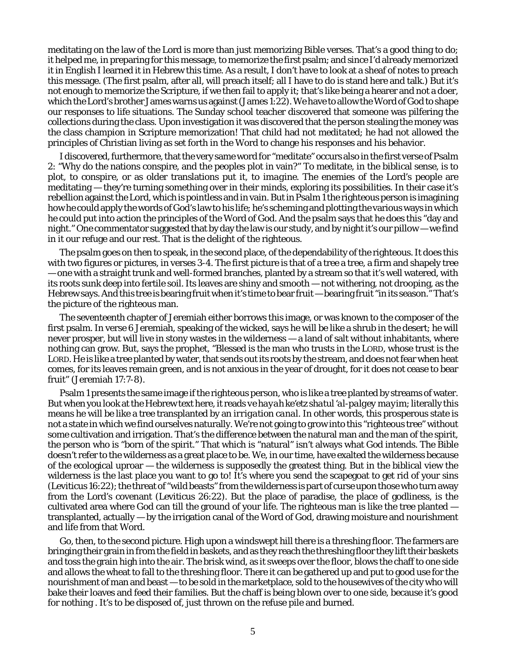meditating on the law of the Lord is more than just memorizing Bible verses. That's a good thing to do; it helped me, in preparing for this message, to memorize the first psalm; and since I'd already memorized it in English I learned it in Hebrew this time. As a result, I don't have to look at a sheaf of notes to preach this message. (The first psalm, after all, will preach itself; all I have to do is stand here and talk.) But it's not enough to memorize the Scripture, if we then fail to apply it; that's like being a hearer and not a doer, which the Lord's brother James warns us against (James 1:22). We have to allow the Word of God to shape our responses to life situations. The Sunday school teacher discovered that someone was pilfering the collections during the class. Upon investigation it was discovered that the person stealing the money was the class champion in Scripture memorization! That child had not *meditated*; he had not allowed the principles of Christian living as set forth in the Word to change his responses and his behavior.

I discovered, furthermore, that the very same word for "meditate" occurs also in the first verse of Psalm 2: "Why do the nations conspire, and the peoples *plot* in vain?" To meditate, in the biblical sense, is to *plot*, to *conspire*, or as older translations put it, to *imagine*. The enemies of the Lord's people are meditating — they're turning something over in their minds, exploring its possibilities. In their case it's rebellion against the Lord, which is pointless and in vain. But in Psalm 1 the righteous person is imagining how he could apply the words of God's law to his life; he's scheming and plotting the various ways in which he could put into action the principles of the Word of God. And the psalm says that he does this "day and night." One commentator suggested that by day the law is our study, and by night it's our pillow — we find in it our refuge and our rest. That is the delight of the righteous.

The psalm goes on then to speak, in the second place, of the dependability of the righteous. It does this with two figures or pictures, in verses 3-4. The first picture is that of a tree a tree, a firm and shapely tree — one with a straight trunk and well-formed branches, planted by a stream so that it's well watered, with its roots sunk deep into fertile soil. Its leaves are shiny and smooth — not withering, not drooping, as the Hebrew says. And this tree is bearing fruit when it's time to bear fruit — bearing fruit "in its season." That's the picture of the righteous man.

The seventeenth chapter of Jeremiah either borrows this image, or was known to the composer of the first psalm. In verse 6 Jeremiah, speaking of the wicked, says he will be like a shrub in the desert; he will never prosper, but will live in stony wastes in the wilderness — a land of salt without inhabitants, where nothing can grow. But, says the prophet, "Blessed is the man who trusts in the LORD, whose trust is the LORD. He is like a tree planted by water, that sends out its roots by the stream, and does not fear when heat comes, for its leaves remain green, and is not anxious in the year of drought, for it does not cease to bear fruit" (Jeremiah 17:7-8).

Psalm 1 presents the same image if the righteous person, who is like a tree planted by streams of water. But when you look at the Hebrew text here, it reads *ve hayah ke'etz shatul 'al-palgey mayim*; literally this means he will be like a tree transplanted by an *irrigation canal*. In other words, this prosperous state is not a state in which we find ourselves naturally. We're not going to grow into this "righteous tree" without some cultivation and irrigation. That's the difference between the natural man and the man of the spirit, the person who is "born of the spirit." That which is "natural" isn't always what God intends. The Bible doesn't refer to the wilderness as a great place to be. We, in our time, have exalted the wilderness because of the ecological uproar — the wilderness is supposedly the greatest thing. But in the biblical view the wilderness is the last place you want to go to! It's where you send the scapegoat to get rid of your sins (Leviticus 16:22); the threat of "wild beasts" from the wilderness is part of curse upon those who turn away from the Lord's covenant (Leviticus 26:22). But the place of paradise, the place of godliness, is the cultivated area where God can till the ground of your life. The righteous man is like the tree planted transplanted, actually — by the irrigation canal of the Word of God, drawing moisture and nourishment and life from that Word.

Go, then, to the second picture. High upon a windswept hill there is a threshing floor. The farmers are bringing their grain in from the field in baskets, and as they reach the threshing floor they lift their baskets and toss the grain high into the air. The brisk wind, as it sweeps over the floor, blows the chaff to one side and allows the wheat to fall to the threshing floor. There it can be gathered up and put to good use for the nourishment of man and beast — to be sold in the marketplace, sold to the housewives of the city who will bake their loaves and feed their families. But the chaff is being blown over to one side, because it's good for nothing . It's to be disposed of, just thrown on the refuse pile and burned.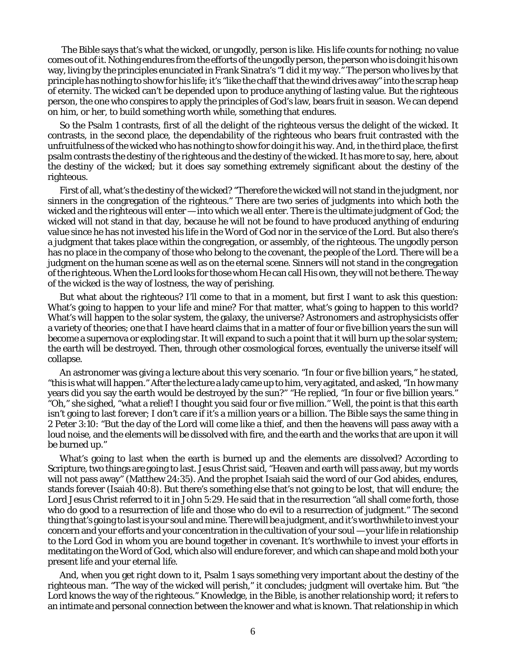The Bible says that's what the wicked, or ungodly, person is like. His life counts for nothing; no value comes out of it. Nothing endures from the efforts of the ungodly person, the person who is doing it his own way, living by the principles enunciated in Frank Sinatra's "I did it my way." The person who lives by that principle has nothing to show for his life; it's "like the chaff that the wind drives away" into the scrap heap of eternity. The wicked can't be depended upon to produce anything of lasting value. But the righteous person, the one who conspires to apply the principles of God's law, bears fruit in season. We can depend on him, or her, to build something worth while, something that endures.

So the Psalm 1 contrasts, first of all the delight of the righteous versus the delight of the wicked. It contrasts, in the second place, the dependability of the righteous who bears fruit contrasted with the unfruitfulness of the wicked who has nothing to show for doing it his way. And, in the third place, the first psalm contrasts the destiny of the righteous and the destiny of the wicked. It has more to say, here, about the destiny of the wicked; but it does say something extremely significant about the destiny of the righteous.

First of all, what's the destiny of the wicked? "Therefore the wicked will not stand in the judgment, nor sinners in the congregation of the righteous." There are two series of judgments into which both the wicked and the righteous will enter — into which we all enter. There is the ultimate judgment of God; the wicked will not stand in that day, because he will not be found to have produced anything of enduring value since he has not invested his life in the Word of God nor in the service of the Lord. But also there's a judgment that takes place within the congregation, or assembly, of the righteous. The ungodly person has no place in the company of those who belong to the covenant, the people of the Lord. There will be a judgment on the human scene as well as on the eternal scene. Sinners will not stand in the congregation of the righteous. When the Lord looks for those whom He can call His own, they will not be there. The way of the wicked is the way of lostness, the way of perishing.

But what about the righteous? I'll come to that in a moment, but first I want to ask this question: What's going to happen to your life and mine? For that matter, what's going to happen to this world? What's will happen to the solar system, the galaxy, the universe? Astronomers and astrophysicists offer a variety of theories; one that I have heard claims that in a matter of four or five billion years the sun will become a supernova or exploding star. It will expand to such a point that it will burn up the solar system; the earth will be destroyed. Then, through other cosmological forces, eventually the universe itself will collapse.

An astronomer was giving a lecture about this very scenario. "In four or five billion years," he stated, "this is what will happen." After the lecture a lady came up to him, very agitated, and asked, "In how many years did you say the earth would be destroyed by the sun?" "He replied, "In four or five billion years." "Oh," she sighed, "what a relief! I thought you said four or five *million*." Well, the point is that this earth isn't going to last forever; I don't care if it's a million years or a billion. The Bible says the same thing in 2 Peter 3:10: "But the day of the Lord will come like a thief, and then the heavens will pass away with a loud noise, and the elements will be dissolved with fire, and the earth and the works that are upon it will be burned up."

What's going to last when the earth is burned up and the elements are dissolved? According to Scripture, two things are going to last. Jesus Christ said, "Heaven and earth will pass away, but my words will not pass away" (Matthew 24:35). And the prophet Isaiah said the word of our God abides, endures, stands forever (Isaiah 40:8). But there's something else that's not going to be lost, that will endure; the Lord Jesus Christ referred to it in John 5:29. He said that in the resurrection "all shall come forth, those who do good to a resurrection of life and those who do evil to a resurrection of judgment." The second thing that's going to last is your soul and mine. There will be a judgment, and it's worthwhile to invest your concern and your efforts and your concentration in the cultivation of your soul — your life in relationship to the Lord God in whom you are bound together in covenant. It's worthwhile to invest your efforts in meditating on the Word of God, which also will endure forever, and which can shape and mold both your present life and your eternal life.

And, when you get right down to it, Psalm 1 says something very important about the destiny of the righteous man. "The way of the wicked will perish," it concludes; judgment will overtake him. But "the Lord *knows* the way of the righteous." Knowledge, in the Bible, is another relationship word; it refers to an intimate and personal connection between the knower and what is known. That relationship in which